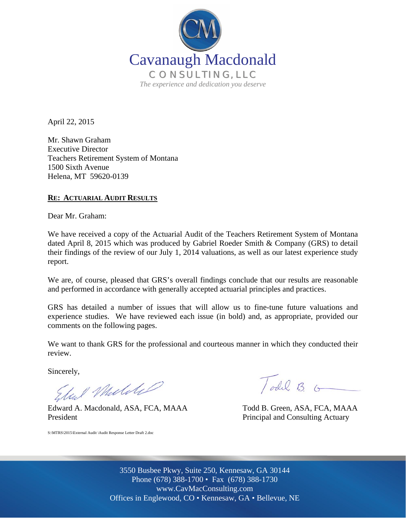

April 22, 2015

Mr. Shawn Graham Executive Director Teachers Retirement System of Montana 1500 Sixth Avenue Helena, MT 59620-0139

#### **RE: ACTUARIAL AUDIT RESULTS**

Dear Mr. Graham:

We have received a copy of the Actuarial Audit of the Teachers Retirement System of Montana dated April 8, 2015 which was produced by Gabriel Roeder Smith & Company (GRS) to detail their findings of the review of our July 1, 2014 valuations, as well as our latest experience study report.

We are, of course, pleased that GRS's overall findings conclude that our results are reasonable and performed in accordance with generally accepted actuarial principles and practices.

GRS has detailed a number of issues that will allow us to fine-tune future valuations and experience studies. We have reviewed each issue (in bold) and, as appropriate, provided our comments on the following pages.

We want to thank GRS for the professional and courteous manner in which they conducted their review.

Sincerely,

Eliel Muldel

Edward A. Macdonald, ASA, FCA, MAAA Todd B. Green, ASA, FCA, MAAA President Principal and Consulting Actuary

S:\MTRS\2015\External Audit \Audit Response Letter Draft 2.doc

Todd B. G

Off Offices in Englewood, CO • Kennesaw, GA • Bellevue, NE 3550 Busbee Pkwy, Suite 250, Kennesaw, GA 30144 Phone (678) 388-1700 • Fax (678) 388-1730 www.CavMacConsulting.com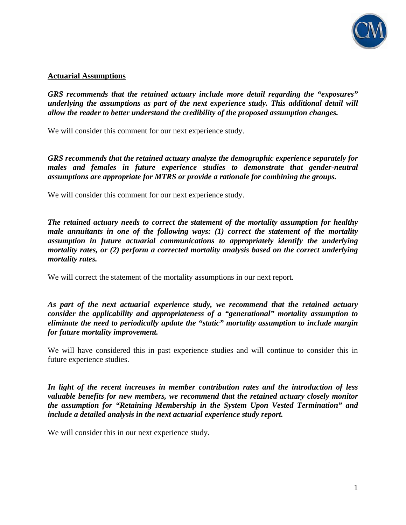

#### **Actuarial Assumptions**

*GRS recommends that the retained actuary include more detail regarding the "exposures" underlying the assumptions as part of the next experience study. This additional detail will allow the reader to better understand the credibility of the proposed assumption changes.* 

We will consider this comment for our next experience study.

*GRS recommends that the retained actuary analyze the demographic experience separately for males and females in future experience studies to demonstrate that gender-neutral assumptions are appropriate for MTRS or provide a rationale for combining the groups.* 

We will consider this comment for our next experience study.

*The retained actuary needs to correct the statement of the mortality assumption for healthy male annuitants in one of the following ways: (1) correct the statement of the mortality assumption in future actuarial communications to appropriately identify the underlying mortality rates, or (2) perform a corrected mortality analysis based on the correct underlying mortality rates.* 

We will correct the statement of the mortality assumptions in our next report.

*As part of the next actuarial experience study, we recommend that the retained actuary consider the applicability and appropriateness of a "generational" mortality assumption to eliminate the need to periodically update the "static" mortality assumption to include margin for future mortality improvement.* 

We will have considered this in past experience studies and will continue to consider this in future experience studies.

*In light of the recent increases in member contribution rates and the introduction of less valuable benefits for new members, we recommend that the retained actuary closely monitor the assumption for "Retaining Membership in the System Upon Vested Termination" and include a detailed analysis in the next actuarial experience study report.* 

We will consider this in our next experience study.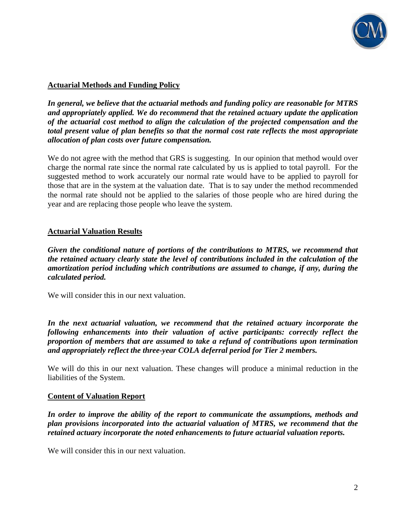

# **Actuarial Methods and Funding Policy**

*In general, we believe that the actuarial methods and funding policy are reasonable for MTRS and appropriately applied. We do recommend that the retained actuary update the application of the actuarial cost method to align the calculation of the projected compensation and the total present value of plan benefits so that the normal cost rate reflects the most appropriate allocation of plan costs over future compensation.* 

We do not agree with the method that GRS is suggesting. In our opinion that method would over charge the normal rate since the normal rate calculated by us is applied to total payroll. For the suggested method to work accurately our normal rate would have to be applied to payroll for those that are in the system at the valuation date. That is to say under the method recommended the normal rate should not be applied to the salaries of those people who are hired during the year and are replacing those people who leave the system.

### **Actuarial Valuation Results**

*Given the conditional nature of portions of the contributions to MTRS, we recommend that the retained actuary clearly state the level of contributions included in the calculation of the amortization period including which contributions are assumed to change, if any, during the calculated period.* 

We will consider this in our next valuation.

*In the next actuarial valuation, we recommend that the retained actuary incorporate the following enhancements into their valuation of active participants: correctly reflect the proportion of members that are assumed to take a refund of contributions upon termination and appropriately reflect the three-year COLA deferral period for Tier 2 members.* 

We will do this in our next valuation. These changes will produce a minimal reduction in the liabilities of the System.

### **Content of Valuation Report**

*In order to improve the ability of the report to communicate the assumptions, methods and plan provisions incorporated into the actuarial valuation of MTRS, we recommend that the retained actuary incorporate the noted enhancements to future actuarial valuation reports.* 

We will consider this in our next valuation.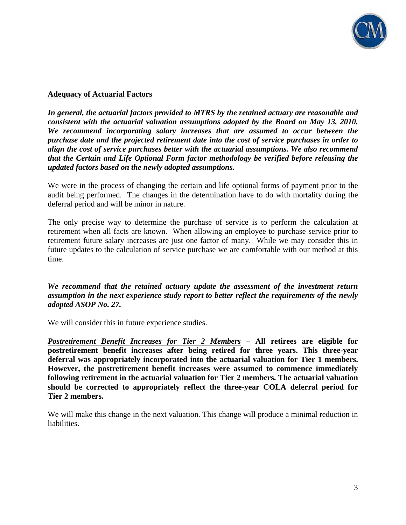

## **Adequacy of Actuarial Factors**

*In general, the actuarial factors provided to MTRS by the retained actuary are reasonable and consistent with the actuarial valuation assumptions adopted by the Board on May 13, 2010. We recommend incorporating salary increases that are assumed to occur between the purchase date and the projected retirement date into the cost of service purchases in order to align the cost of service purchases better with the actuarial assumptions. We also recommend that the Certain and Life Optional Form factor methodology be verified before releasing the updated factors based on the newly adopted assumptions.* 

We were in the process of changing the certain and life optional forms of payment prior to the audit being performed. The changes in the determination have to do with mortality during the deferral period and will be minor in nature.

The only precise way to determine the purchase of service is to perform the calculation at retirement when all facts are known. When allowing an employee to purchase service prior to retirement future salary increases are just one factor of many. While we may consider this in future updates to the calculation of service purchase we are comfortable with our method at this time.

*We recommend that the retained actuary update the assessment of the investment return assumption in the next experience study report to better reflect the requirements of the newly adopted ASOP No. 27.* 

We will consider this in future experience studies.

*Postretirement Benefit Increases for Tier 2 Members* **– All retirees are eligible for postretirement benefit increases after being retired for three years. This three-year deferral was appropriately incorporated into the actuarial valuation for Tier 1 members. However, the postretirement benefit increases were assumed to commence immediately following retirement in the actuarial valuation for Tier 2 members. The actuarial valuation should be corrected to appropriately reflect the three-year COLA deferral period for Tier 2 members.** 

We will make this change in the next valuation. This change will produce a minimal reduction in liabilities.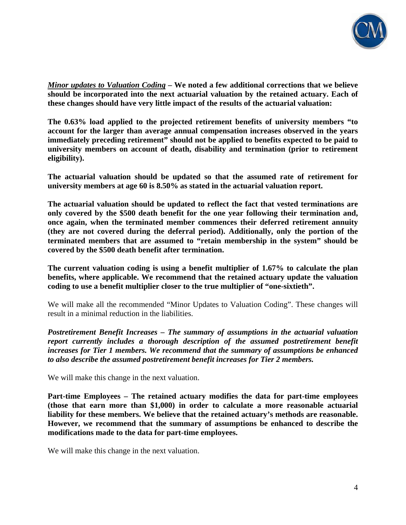

*Minor updates to Valuation Coding* **– We noted a few additional corrections that we believe should be incorporated into the next actuarial valuation by the retained actuary. Each of these changes should have very little impact of the results of the actuarial valuation:** 

**The 0.63% load applied to the projected retirement benefits of university members "to account for the larger than average annual compensation increases observed in the years immediately preceding retirement" should not be applied to benefits expected to be paid to university members on account of death, disability and termination (prior to retirement eligibility).** 

**The actuarial valuation should be updated so that the assumed rate of retirement for university members at age 60 is 8.50% as stated in the actuarial valuation report.** 

**The actuarial valuation should be updated to reflect the fact that vested terminations are only covered by the \$500 death benefit for the one year following their termination and, once again, when the terminated member commences their deferred retirement annuity (they are not covered during the deferral period). Additionally, only the portion of the terminated members that are assumed to "retain membership in the system" should be covered by the \$500 death benefit after termination.** 

**The current valuation coding is using a benefit multiplier of 1.67% to calculate the plan benefits, where applicable. We recommend that the retained actuary update the valuation coding to use a benefit multiplier closer to the true multiplier of "one-sixtieth".** 

We will make all the recommended "Minor Updates to Valuation Coding". These changes will result in a minimal reduction in the liabilities.

*Postretirement Benefit Increases – The summary of assumptions in the actuarial valuation report currently includes a thorough description of the assumed postretirement benefit increases for Tier 1 members. We recommend that the summary of assumptions be enhanced to also describe the assumed postretirement benefit increases for Tier 2 members.* 

We will make this change in the next valuation.

**Part-time Employees – The retained actuary modifies the data for part-time employees (those that earn more than \$1,000) in order to calculate a more reasonable actuarial liability for these members. We believe that the retained actuary's methods are reasonable. However, we recommend that the summary of assumptions be enhanced to describe the modifications made to the data for part-time employees.** 

We will make this change in the next valuation.